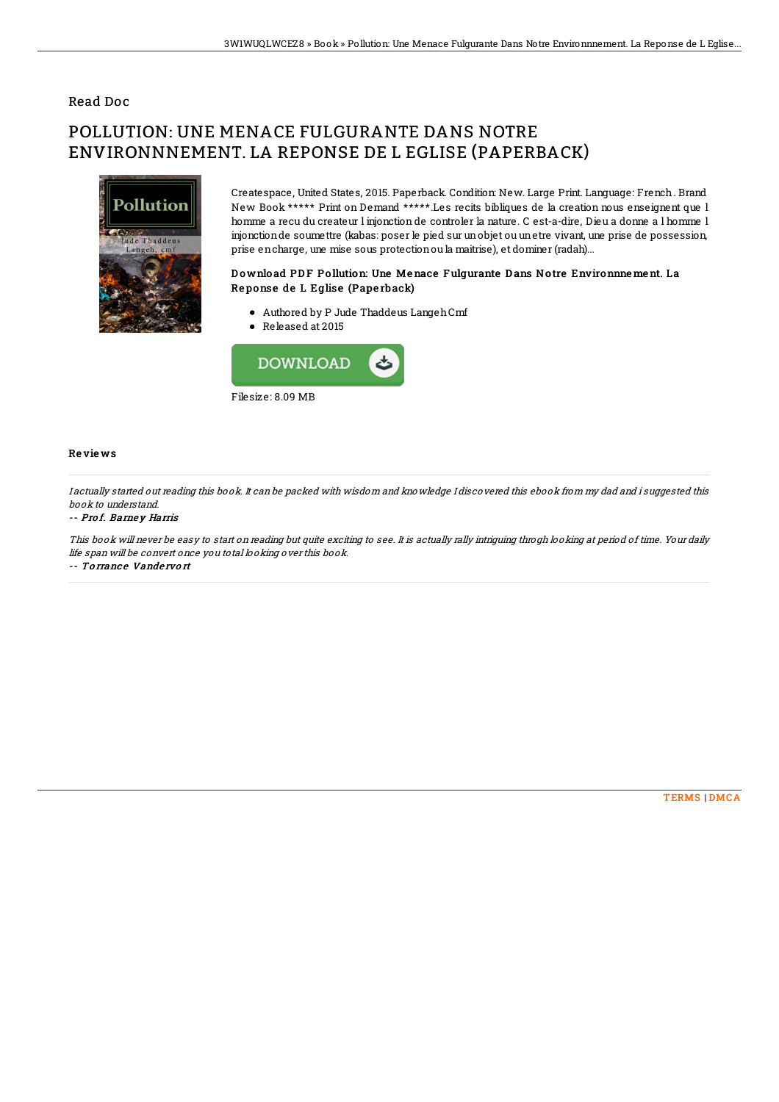## Read Doc

# POLLUTION: UNE MENACE FULGURANTE DANS NOTRE ENVIRONNNEMENT. LA REPONSE DE L EGLISE (PAPERBACK)



Createspace, United States, 2015. Paperback. Condition: New. Large Print. Language: French. Brand New Book \*\*\*\*\* Print on Demand \*\*\*\*\*.Les recits bibliques de la creation nous enseignent que l homme a recu du createur l injonction de controler la nature. C est-a-dire, Dieu a donne a l homme l injonctionde soumettre (kabas: poser le pied sur unobjet ou unetre vivant, une prise de possession, prise encharge, une mise sous protectionou la maitrise), et dominer (radah)...

### Download PDF Pollution: Une Menace Fulgurante Dans Notre Environnne ment. La Re ponse de L Eglise (Pape rback)

- Authored by P Jude Thaddeus LangehCmf
- Released at 2015



### Re vie ws

I actually started out reading this book. It can be packed with wisdom and knowledge I discovered this ebook from my dad and i suggested this book to understand.

### -- Pro f. Barne y Harris

This book will never be easy to start on reading but quite exciting to see. It is actually rally intriguing throgh looking at period of time. Your daily life span will be convert once you total looking over this book. -- Torrance Vandervort